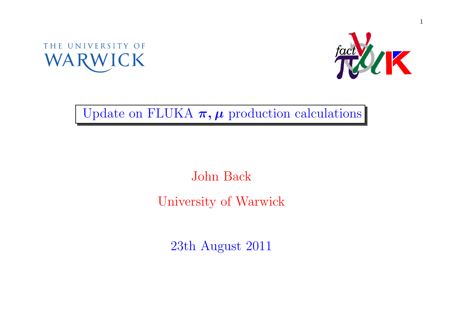



Update on FLUKA  $\pi, \mu$  production calculations

## John BackUniversity of Warwick

23th August <sup>2011</sup>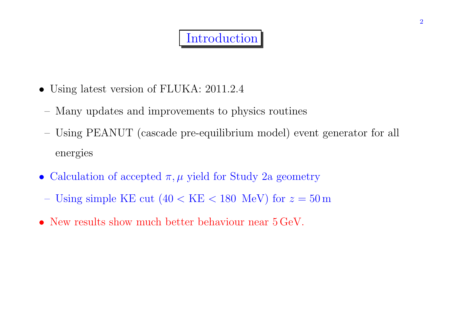## **Introduction**

- Using latest version of FLUKA: 2011.2.4
- Many updates and improvements to <sup>p</sup>hysics routines
- Using PEANUT (cascade pre-equilibrium model) event generator for all energies
- Calculation of accepted  $\pi, \mu$  yield for Study 2a geometry
- Using simple KE cut  $(40 < \text{KE} < 180 \text{ MeV})$  for  $z = 50 \text{ m}$
- New results show much better behaviour near  $5 \,\text{GeV}$ .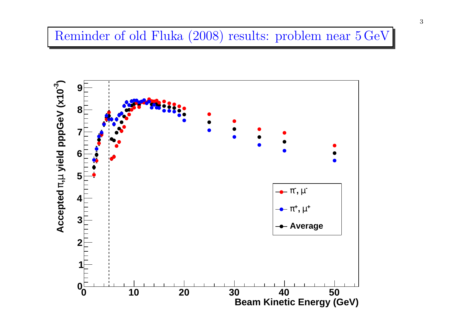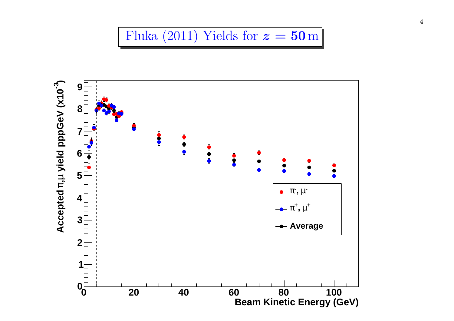

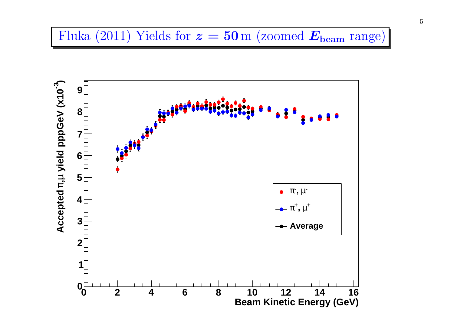